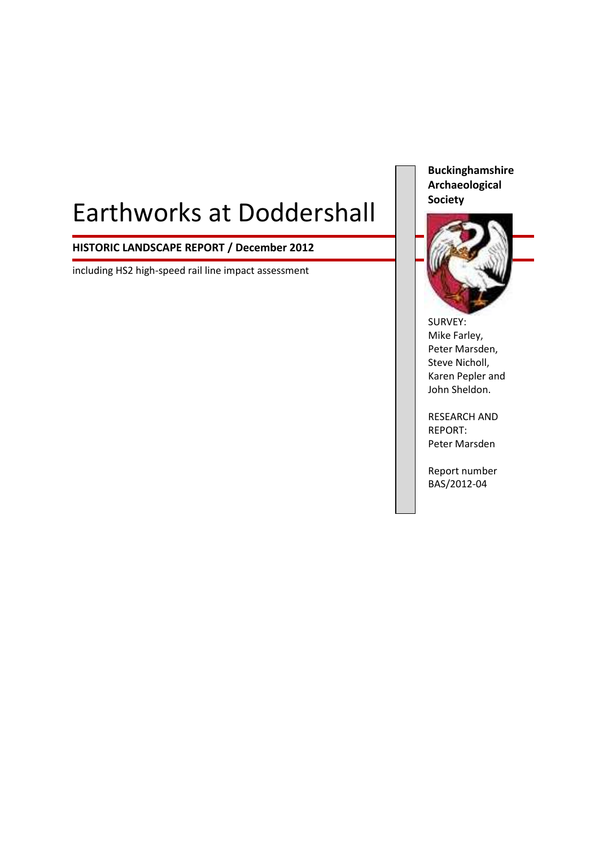# Earthworks at Doddershall

# **HISTORIC LANDSCAPE REPORT / December 2012**

including HS2 high-speed rail line impact assessment

**Buckinghamshire Archaeological Society**



SURVEY: Mike Farley, Peter Marsden, Steve Nicholl, Karen Pepler and John Sheldon.

RESEARCH AND REPORT: Peter Marsden

Report number BAS/2012-04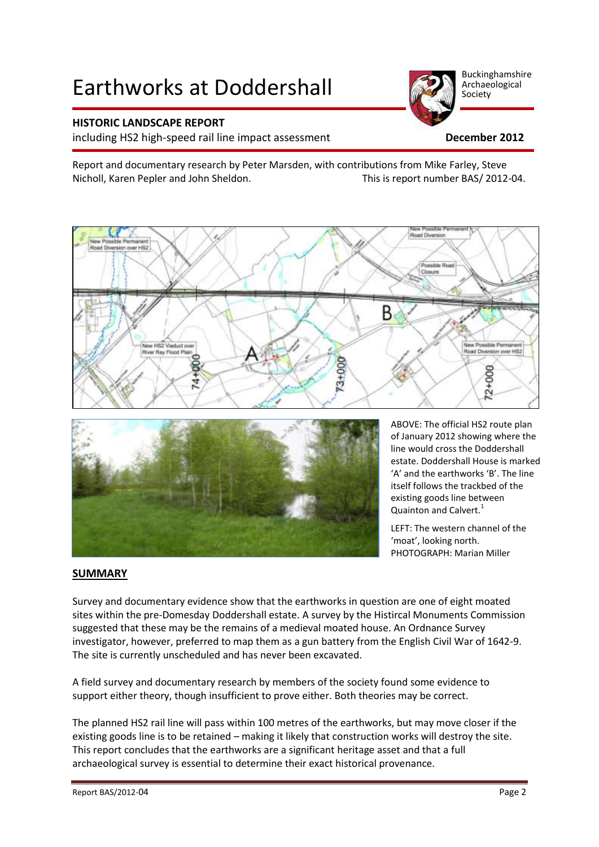# Earthworks at Doddershall

# **HISTORIC LANDSCAPE REPORT**

including HS2 high-speed rail line impact assessment **December 2012**

Report and documentary research by Peter Marsden, with contributions from Mike Farley, Steve Nicholl, Karen Pepler and John Sheldon. This is report number BAS/ 2012-04.





ABOVE: The official HS2 route plan of January 2012 showing where the line would cross the Doddershall estate. Doddershall House is marked 'A' and the earthworks 'B'. The line itself follows the trackbed of the existing goods line between Quainton and Calvert.<sup>1</sup>

LEFT: The western channel of the 'moat', looking north. PHOTOGRAPH: Marian Miller

# **SUMMARY**

Survey and documentary evidence show that the earthworks in question are one of eight moated sites within the pre-Domesday Doddershall estate. A survey by the Histircal Monuments Commission suggested that these may be the remains of a medieval moated house. An Ordnance Survey investigator, however, preferred to map them as a gun battery from the English Civil War of 1642-9. The site is currently unscheduled and has never been excavated.

A field survey and documentary research by members of the society found some evidence to support either theory, though insufficient to prove either. Both theories may be correct.

The planned HS2 rail line will pass within 100 metres of the earthworks, but may move closer if the existing goods line is to be retained – making it likely that construction works will destroy the site. This report concludes that the earthworks are a significant heritage asset and that a full archaeological survey is essential to determine their exact historical provenance.

Buckinghamshire Archaeological Society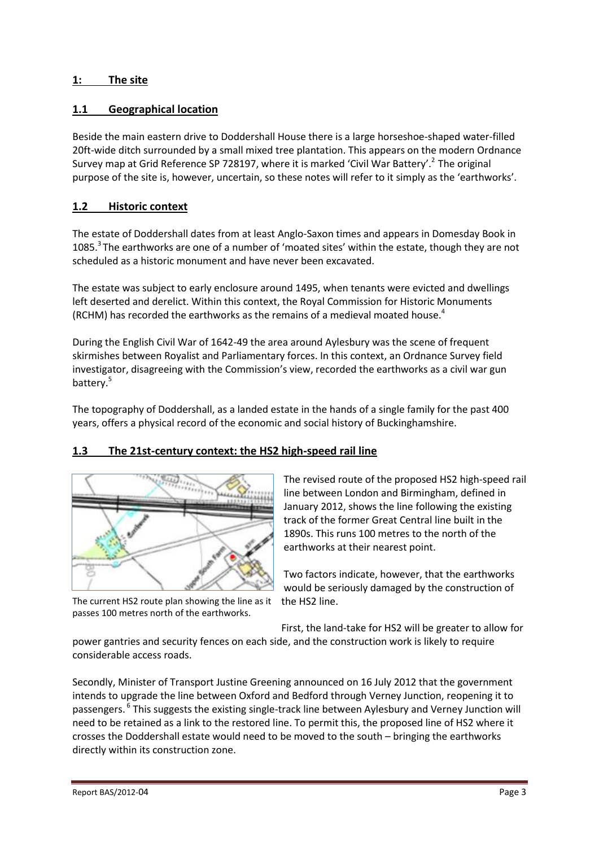# **1: The site**

# **1.1 Geographical location**

Beside the main eastern drive to Doddershall House there is a large horseshoe-shaped water-filled 20ft-wide ditch surrounded by a small mixed tree plantation. This appears on the modern Ordnance Survey map at Grid Reference SP 728197, where it is marked 'Civil War Battery'.<sup>2</sup> The original purpose of the site is, however, uncertain, so these notes will refer to it simply as the 'earthworks'.

# **1.2 Historic context**

The estate of Doddershall dates from at least Anglo-Saxon times and appears in Domesday Book in 1085.<sup>3</sup> The earthworks are one of a number of 'moated sites' within the estate, though they are not scheduled as a historic monument and have never been excavated.

The estate was subject to early enclosure around 1495, when tenants were evicted and dwellings left deserted and derelict. Within this context, the Royal Commission for Historic Monuments (RCHM) has recorded the earthworks as the remains of a medieval moated house.<sup>4</sup>

During the English Civil War of 1642-49 the area around Aylesbury was the scene of frequent skirmishes between Royalist and Parliamentary forces. In this context, an Ordnance Survey field investigator, disagreeing with the Commission's view, recorded the earthworks as a civil war gun battery. 5

The topography of Doddershall, as a landed estate in the hands of a single family for the past 400 years, offers a physical record of the economic and social history of Buckinghamshire.

# **1.3 The 21st-century context: the HS2 high-speed rail line**



The current HS2 route plan showing the line as it passes 100 metres north of the earthworks.

The revised route of the proposed HS2 high-speed rail line between London and Birmingham, defined in January 2012, shows the line following the existing track of the former Great Central line built in the 1890s. This runs 100 metres to the north of the earthworks at their nearest point.

Two factors indicate, however, that the earthworks would be seriously damaged by the construction of the HS2 line.

First, the land-take for HS2 will be greater to allow for power gantries and security fences on each side, and the construction work is likely to require

Secondly, Minister of Transport Justine Greening announced on 16 July 2012 that the government intends to upgrade the line between Oxford and Bedford through Verney Junction, reopening it to passengers. <sup>6</sup> This suggests the existing single-track line between Aylesbury and Verney Junction will need to be retained as a link to the restored line. To permit this, the proposed line of HS2 where it crosses the Doddershall estate would need to be moved to the south – bringing the earthworks directly within its construction zone.

considerable access roads.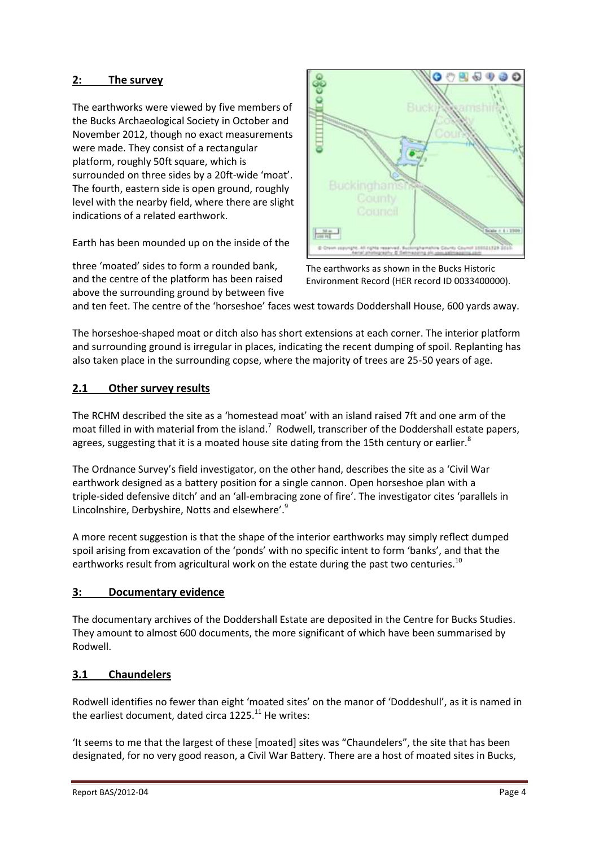# **2: The survey**

The earthworks were viewed by five members of the Bucks Archaeological Society in October and November 2012, though no exact measurements were made. They consist of a rectangular platform, roughly 50ft square, which is surrounded on three sides by a 20ft-wide 'moat'. The fourth, eastern side is open ground, roughly level with the nearby field, where there are slight indications of a related earthwork.

Earth has been mounded up on the inside of the

three 'moated' sides to form a rounded bank, and the centre of the platform has been raised above the surrounding ground by between five



The earthworks as shown in the Bucks Historic Environment Record (HER record ID 0033400000).

and ten feet. The centre of the 'horseshoe' faces west towards Doddershall House, 600 yards away.

The horseshoe-shaped moat or ditch also has short extensions at each corner. The interior platform and surrounding ground is irregular in places, indicating the recent dumping of spoil. Replanting has also taken place in the surrounding copse, where the majority of trees are 25-50 years of age.

# **2.1 Other survey results**

The RCHM described the site as a 'homestead moat' with an island raised 7ft and one arm of the moat filled in with material from the island.<sup>7</sup> Rodwell, transcriber of the Doddershall estate papers, agrees, suggesting that it is a moated house site dating from the 15th century or earlier. $8$ 

The Ordnance Survey's field investigator, on the other hand, describes the site as a 'Civil War earthwork designed as a battery position for a single cannon. Open horseshoe plan with a triple-sided defensive ditch' and an 'all-embracing zone of fire'. The investigator cites 'parallels in Lincolnshire, Derbyshire, Notts and elsewhere'.<sup>9</sup>

A more recent suggestion is that the shape of the interior earthworks may simply reflect dumped spoil arising from excavation of the 'ponds' with no specific intent to form 'banks', and that the earthworks result from agricultural work on the estate during the past two centuries.<sup>10</sup>

#### **3: Documentary evidence**

The documentary archives of the Doddershall Estate are deposited in the Centre for Bucks Studies. They amount to almost 600 documents, the more significant of which have been summarised by Rodwell.

# **3.1 Chaundelers**

Rodwell identifies no fewer than eight 'moated sites' on the manor of 'Doddeshull', as it is named in the earliest document, dated circa 1225.<sup>11</sup> He writes:

'It seems to me that the largest of these [moated] sites was "Chaundelers", the site that has been designated, for no very good reason, a Civil War Battery. There are a host of moated sites in Bucks,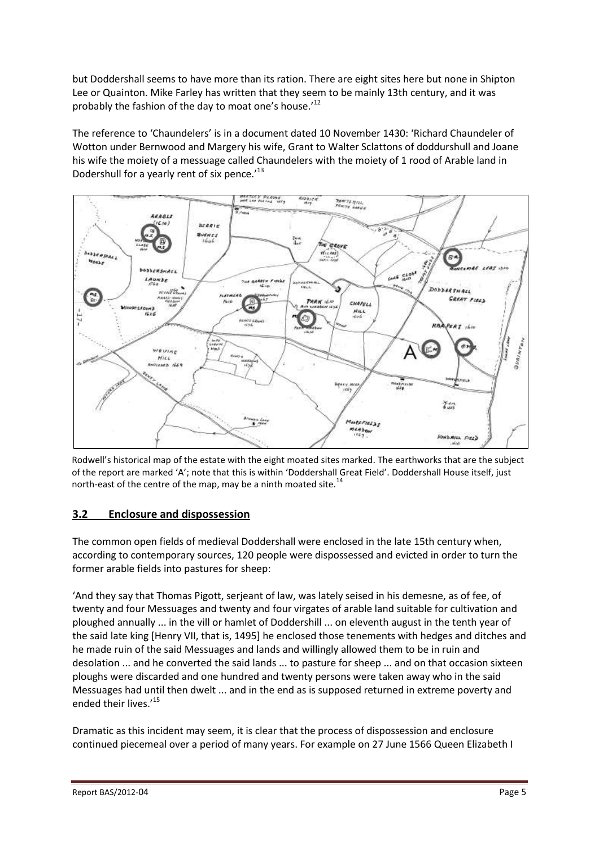but Doddershall seems to have more than its ration. There are eight sites here but none in Shipton Lee or Quainton. Mike Farley has written that they seem to be mainly 13th century, and it was probably the fashion of the day to moat one's house.'<sup>12</sup>

The reference to 'Chaundelers' is in a document dated 10 November 1430: 'Richard Chaundeler of Wotton under Bernwood and Margery his wife, Grant to Walter Sclattons of doddurshull and Joane his wife the moiety of a messuage called Chaundelers with the moiety of 1 rood of Arable land in Dodershull for a yearly rent of six pence.'<sup>13</sup>



Rodwell's historical map of the estate with the eight moated sites marked. The earthworks that are the subject of the report are marked 'A'; note that this is within 'Doddershall Great Field'. Doddershall House itself, just north-east of the centre of the map, may be a ninth moated site.<sup>14</sup>

# **3.2 Enclosure and dispossession**

The common open fields of medieval Doddershall were enclosed in the late 15th century when, according to contemporary sources, 120 people were dispossessed and evicted in order to turn the former arable fields into pastures for sheep:

'And they say that Thomas Pigott, serjeant of law, was lately seised in his demesne, as of fee, of twenty and four Messuages and twenty and four virgates of arable land suitable for cultivation and ploughed annually ... in the vill or hamlet of Doddershill ... on eleventh august in the tenth year of the said late king [Henry VII, that is, 1495] he enclosed those tenements with hedges and ditches and he made ruin of the said Messuages and lands and willingly allowed them to be in ruin and desolation ... and he converted the said lands ... to pasture for sheep ... and on that occasion sixteen ploughs were discarded and one hundred and twenty persons were taken away who in the said Messuages had until then dwelt ... and in the end as is supposed returned in extreme poverty and ended their lives.'<sup>15</sup>

Dramatic as this incident may seem, it is clear that the process of dispossession and enclosure continued piecemeal over a period of many years. For example on 27 June 1566 Queen Elizabeth I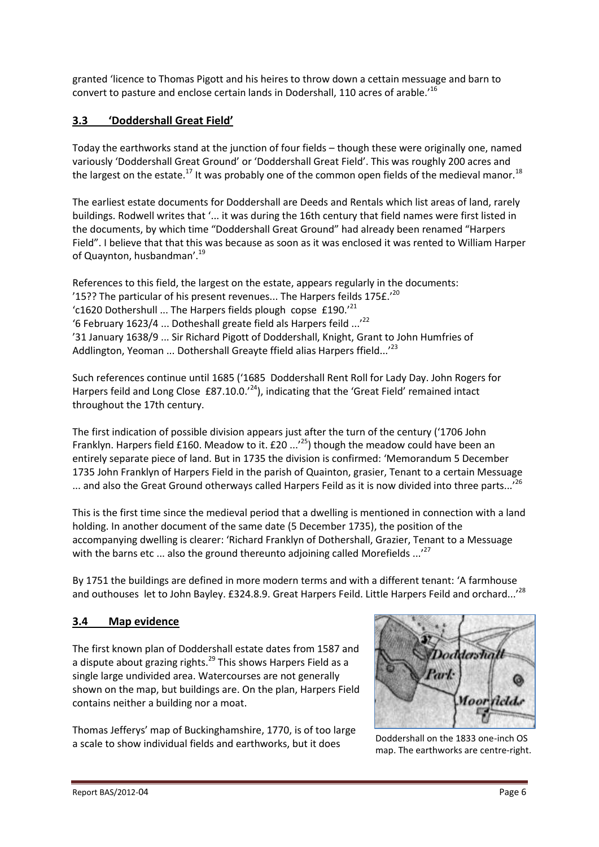granted 'licence to Thomas Pigott and his heires to throw down a cettain messuage and barn to convert to pasture and enclose certain lands in Dodershall, 110 acres of arable.'<sup>16</sup>

# **3.3 'Doddershall Great Field'**

Today the earthworks stand at the junction of four fields – though these were originally one, named variously 'Doddershall Great Ground' or 'Doddershall Great Field'. This was roughly 200 acres and the largest on the estate.<sup>17</sup> It was probably one of the common open fields of the medieval manor.<sup>18</sup>

The earliest estate documents for Doddershall are Deeds and Rentals which list areas of land, rarely buildings. Rodwell writes that '... it was during the 16th century that field names were first listed in the documents, by which time "Doddershall Great Ground" had already been renamed "Harpers Field". I believe that that this was because as soon as it was enclosed it was rented to William Harper of Quaynton, husbandman'.<sup>19</sup>

References to this field, the largest on the estate, appears regularly in the documents: '15?? The particular of his present revenues... The Harpers feilds  $175f.^{\prime20}$ 'c1620 Dothershull ... The Harpers fields plough copse  $£190.^{21}$ '6 February 1623/4 ... Dotheshall greate field als Harpers feild  $...$ <sup>22</sup> '31 January 1638/9 ... Sir Richard Pigott of Doddershall, Knight, Grant to John Humfries of Addlington, Yeoman ... Dothershall Greayte ffield alias Harpers ffield...<sup>'23</sup>

Such references continue until 1685 ('1685 Doddershall Rent Roll for Lady Day. John Rogers for Harpers feild and Long Close £87.10.0.<sup>'24</sup>), indicating that the 'Great Field' remained intact throughout the 17th century.

The first indication of possible division appears just after the turn of the century ('1706 John Franklyn. Harpers field £160. Meadow to it. £20 ...<sup>'25</sup>) though the meadow could have been an entirely separate piece of land. But in 1735 the division is confirmed: 'Memorandum 5 December 1735 John Franklyn of Harpers Field in the parish of Quainton, grasier, Tenant to a certain Messuage ... and also the Great Ground otherways called Harpers Feild as it is now divided into three parts...<sup>726</sup>

This is the first time since the medieval period that a dwelling is mentioned in connection with a land holding. In another document of the same date (5 December 1735), the position of the accompanying dwelling is clearer: 'Richard Franklyn of Dothershall, Grazier, Tenant to a Messuage with the barns etc ... also the ground thereunto adjoining called Morefields ...<sup>27</sup>

By 1751 the buildings are defined in more modern terms and with a different tenant: 'A farmhouse and outhouses let to John Bayley. £324.8.9. Great Harpers Feild. Little Harpers Feild and orchard...<sup>'28</sup>

# **3.4 Map evidence**

The first known plan of Doddershall estate dates from 1587 and a dispute about grazing rights.<sup>29</sup> This shows Harpers Field as a single large undivided area. Watercourses are not generally shown on the map, but buildings are. On the plan, Harpers Field contains neither a building nor a moat.

Thomas Jefferys' map of Buckinghamshire, 1770, is of too large a scale to show individual fields and earthworks, but it does<br>a scale to show individual fields and earthworks, but it does



map. The earthworks are centre-right.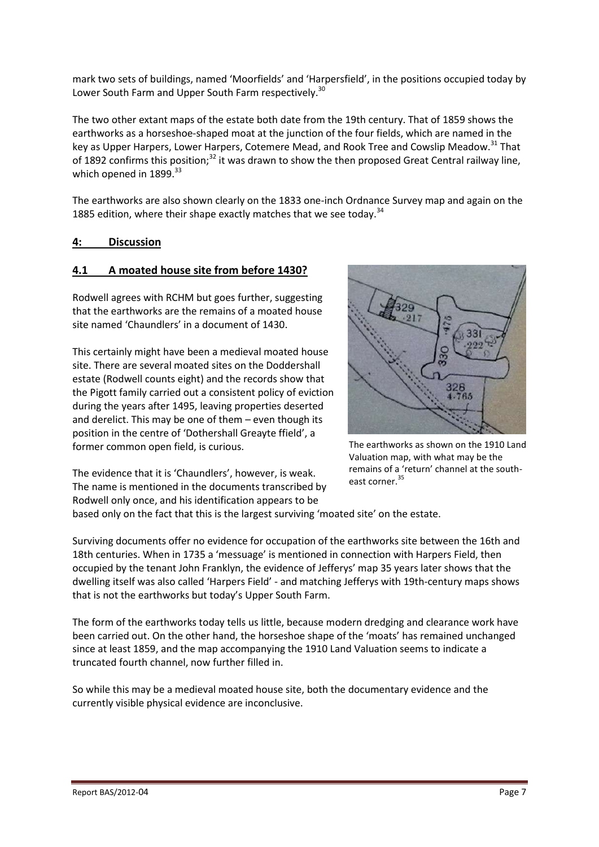mark two sets of buildings, named 'Moorfields' and 'Harpersfield', in the positions occupied today by Lower South Farm and Upper South Farm respectively.<sup>30</sup>

The two other extant maps of the estate both date from the 19th century. That of 1859 shows the earthworks as a horseshoe-shaped moat at the junction of the four fields, which are named in the key as Upper Harpers, Lower Harpers, Cotemere Mead, and Rook Tree and Cowslip Meadow.<sup>31</sup> That of 1892 confirms this position;<sup>32</sup> it was drawn to show the then proposed Great Central railway line, which opened in 1899.<sup>33</sup>

The earthworks are also shown clearly on the 1833 one-inch Ordnance Survey map and again on the 1885 edition, where their shape exactly matches that we see today.<sup>34</sup>

#### **4: Discussion**

# **4.1 A moated house site from before 1430?**

Rodwell agrees with RCHM but goes further, suggesting that the earthworks are the remains of a moated house site named 'Chaundlers' in a document of 1430.

This certainly might have been a medieval moated house site. There are several moated sites on the Doddershall estate (Rodwell counts eight) and the records show that the Pigott family carried out a consistent policy of eviction during the years after 1495, leaving properties deserted and derelict. This may be one of them – even though its position in the centre of 'Dothershall Greayte ffield', a former common open field, is curious.



The earthworks as shown on the 1910 Land Valuation map, with what may be the remains of a 'return' channel at the southeast corner.<sup>35</sup>

The evidence that it is 'Chaundlers', however, is weak. The name is mentioned in the documents transcribed by Rodwell only once, and his identification appears to be

based only on the fact that this is the largest surviving 'moated site' on the estate.

Surviving documents offer no evidence for occupation of the earthworks site between the 16th and 18th centuries. When in 1735 a 'messuage' is mentioned in connection with Harpers Field, then occupied by the tenant John Franklyn, the evidence of Jefferys' map 35 years later shows that the dwelling itself was also called 'Harpers Field' - and matching Jefferys with 19th-century maps shows that is not the earthworks but today's Upper South Farm.

The form of the earthworks today tells us little, because modern dredging and clearance work have been carried out. On the other hand, the horseshoe shape of the 'moats' has remained unchanged since at least 1859, and the map accompanying the 1910 Land Valuation seems to indicate a truncated fourth channel, now further filled in.

So while this may be a medieval moated house site, both the documentary evidence and the currently visible physical evidence are inconclusive.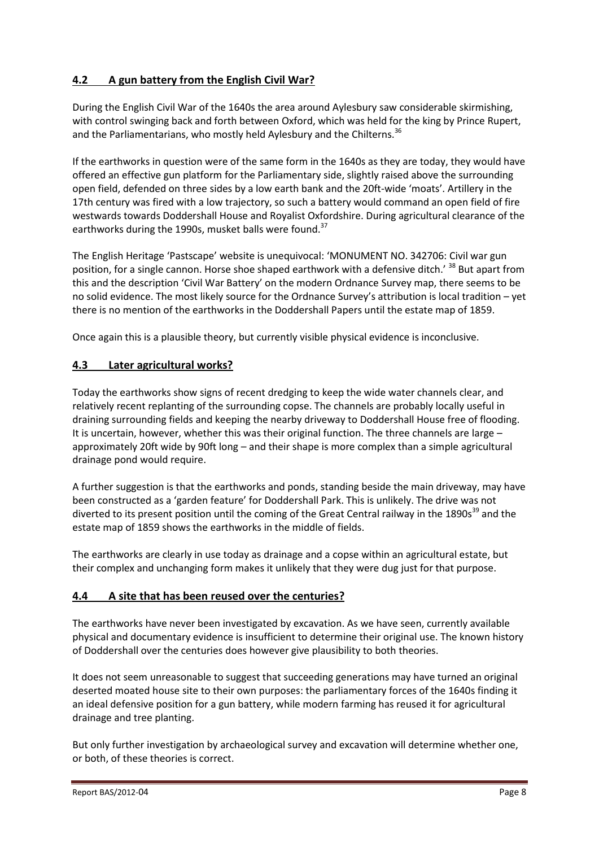# **4.2 A gun battery from the English Civil War?**

During the English Civil War of the 1640s the area around Aylesbury saw considerable skirmishing, with control swinging back and forth between Oxford, which was held for the king by Prince Rupert, and the Parliamentarians, who mostly held Aylesbury and the Chilterns.<sup>36</sup>

If the earthworks in question were of the same form in the 1640s as they are today, they would have offered an effective gun platform for the Parliamentary side, slightly raised above the surrounding open field, defended on three sides by a low earth bank and the 20ft-wide 'moats'. Artillery in the 17th century was fired with a low trajectory, so such a battery would command an open field of fire westwards towards Doddershall House and Royalist Oxfordshire. During agricultural clearance of the earthworks during the 1990s, musket balls were found.<sup>37</sup>

The English Heritage 'Pastscape' website is unequivocal: 'MONUMENT NO. 342706: Civil war gun position, for a single cannon. Horse shoe shaped earthwork with a defensive ditch.' <sup>38</sup> But apart from this and the description 'Civil War Battery' on the modern Ordnance Survey map, there seems to be no solid evidence. The most likely source for the Ordnance Survey's attribution is local tradition – yet there is no mention of the earthworks in the Doddershall Papers until the estate map of 1859.

Once again this is a plausible theory, but currently visible physical evidence is inconclusive.

# **4.3 Later agricultural works?**

Today the earthworks show signs of recent dredging to keep the wide water channels clear, and relatively recent replanting of the surrounding copse. The channels are probably locally useful in draining surrounding fields and keeping the nearby driveway to Doddershall House free of flooding. It is uncertain, however, whether this was their original function. The three channels are large – approximately 20ft wide by 90ft long – and their shape is more complex than a simple agricultural drainage pond would require.

A further suggestion is that the earthworks and ponds, standing beside the main driveway, may have been constructed as a 'garden feature' for Doddershall Park. This is unlikely. The drive was not diverted to its present position until the coming of the Great Central railway in the 1890s<sup>39</sup> and the estate map of 1859 shows the earthworks in the middle of fields.

The earthworks are clearly in use today as drainage and a copse within an agricultural estate, but their complex and unchanging form makes it unlikely that they were dug just for that purpose.

# **4.4 A site that has been reused over the centuries?**

The earthworks have never been investigated by excavation. As we have seen, currently available physical and documentary evidence is insufficient to determine their original use. The known history of Doddershall over the centuries does however give plausibility to both theories.

It does not seem unreasonable to suggest that succeeding generations may have turned an original deserted moated house site to their own purposes: the parliamentary forces of the 1640s finding it an ideal defensive position for a gun battery, while modern farming has reused it for agricultural drainage and tree planting.

But only further investigation by archaeological survey and excavation will determine whether one, or both, of these theories is correct.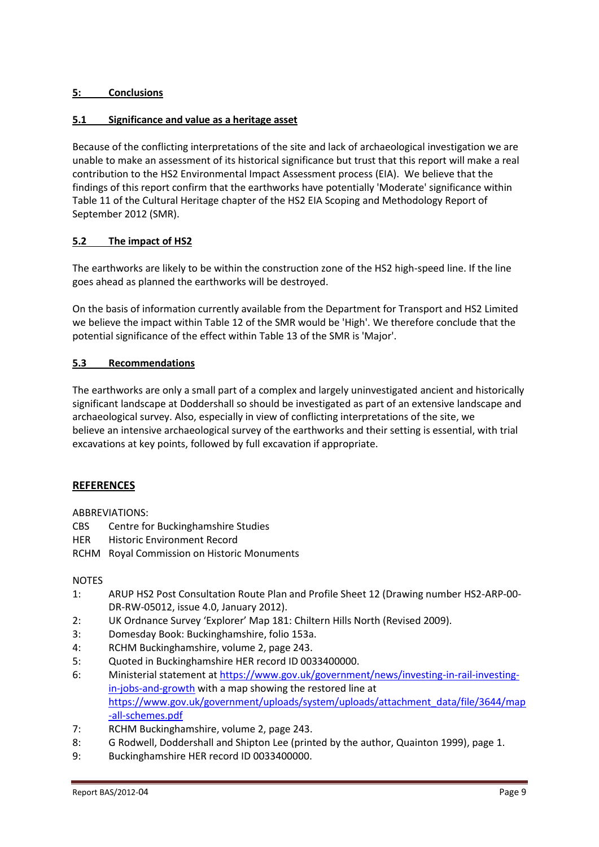# **5: Conclusions**

#### **5.1 Significance and value as a heritage asset**

Because of the conflicting interpretations of the site and lack of archaeological investigation we are unable to make an assessment of its historical significance but trust that this report will make a real contribution to the HS2 Environmental Impact Assessment process (EIA). We believe that the findings of this report confirm that the earthworks have potentially 'Moderate' significance within Table 11 of the Cultural Heritage chapter of the HS2 EIA Scoping and Methodology Report of September 2012 (SMR).

#### **5.2 The impact of HS2**

The earthworks are likely to be within the construction zone of the HS2 high-speed line. If the line goes ahead as planned the earthworks will be destroyed.

On the basis of information currently available from the Department for Transport and HS2 Limited we believe the impact within Table 12 of the SMR would be 'High'. We therefore conclude that the potential significance of the effect within Table 13 of the SMR is 'Major'.

#### **5.3 Recommendations**

The earthworks are only a small part of a complex and largely uninvestigated ancient and historically significant landscape at Doddershall so should be investigated as part of an extensive landscape and archaeological survey. Also, especially in view of conflicting interpretations of the site, we believe an intensive archaeological survey of the earthworks and their setting is essential, with trial excavations at key points, followed by full excavation if appropriate.

# **REFERENCES**

#### ABBREVIATIONS:

- CBS Centre for Buckinghamshire Studies
- HER Historic Environment Record
- RCHM Royal Commission on Historic Monuments

#### NOTES

- 1: ARUP HS2 Post Consultation Route Plan and Profile Sheet 12 (Drawing number HS2-ARP-00- DR-RW-05012, issue 4.0, January 2012).
- 2: UK Ordnance Survey 'Explorer' Map 181: Chiltern Hills North (Revised 2009).
- 3: Domesday Book: Buckinghamshire, folio 153a.
- 4: RCHM Buckinghamshire, volume 2, page 243.
- 5: Quoted in Buckinghamshire HER record ID 0033400000.
- 6: Ministerial statement a[t https://www.gov.uk/government/news/investing-in-rail-investing](https://www.gov.uk/government/news/investing-in-rail-investing-in-jobs-and-growth)[in-jobs-and-growth](https://www.gov.uk/government/news/investing-in-rail-investing-in-jobs-and-growth) with a map showing the restored line at [https://www.gov.uk/government/uploads/system/uploads/attachment\\_data/file/3644/map](https://www.gov.uk/government/uploads/system/uploads/attachment_data/file/3644/map-all-schemes.pdf) [-all-schemes.pdf](https://www.gov.uk/government/uploads/system/uploads/attachment_data/file/3644/map-all-schemes.pdf)
- 7: RCHM Buckinghamshire, volume 2, page 243.
- 8: G Rodwell, Doddershall and Shipton Lee (printed by the author, Quainton 1999), page 1.
- 9: Buckinghamshire HER record ID 0033400000.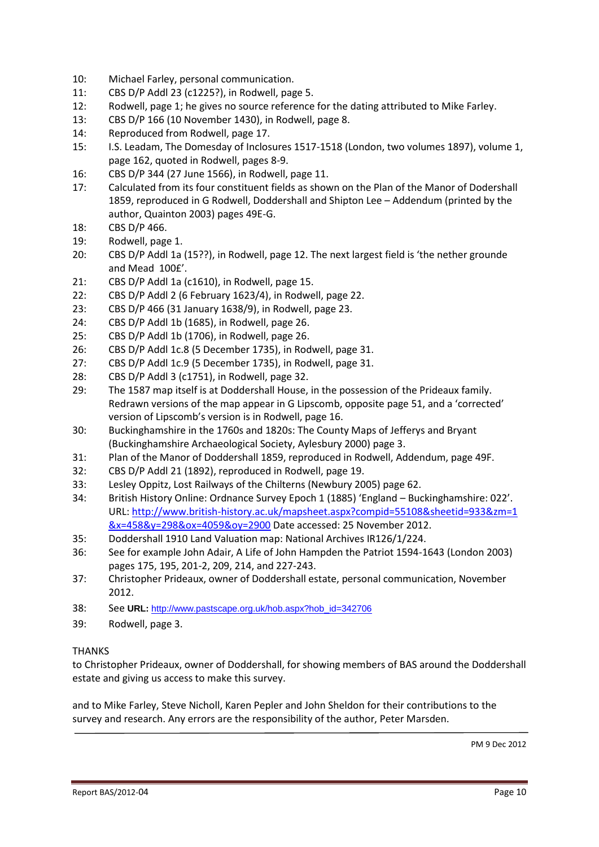- 10: Michael Farley, personal communication.
- 11: CBS D/P Addl 23 (c1225?), in Rodwell, page 5.
- 12: Rodwell, page 1; he gives no source reference for the dating attributed to Mike Farley.
- 13: CBS D/P 166 (10 November 1430), in Rodwell, page 8.
- 14: Reproduced from Rodwell, page 17.
- 15: I.S. Leadam, The Domesday of Inclosures 1517-1518 (London, two volumes 1897), volume 1, page 162, quoted in Rodwell, pages 8-9.
- 16: CBS D/P 344 (27 June 1566), in Rodwell, page 11.
- 17: Calculated from its four constituent fields as shown on the Plan of the Manor of Dodershall 1859, reproduced in G Rodwell, Doddershall and Shipton Lee – Addendum (printed by the author, Quainton 2003) pages 49E-G.
- 18: CBS D/P 466.
- 19: Rodwell, page 1.
- 20: CBS D/P Addl 1a (15??), in Rodwell, page 12. The next largest field is 'the nether grounde and Mead 100£'.
- 21: CBS D/P Addl 1a (c1610), in Rodwell, page 15.
- 22: CBS D/P Addl 2 (6 February 1623/4), in Rodwell, page 22.
- 23: CBS D/P 466 (31 January 1638/9), in Rodwell, page 23.
- 24: CBS D/P Addl 1b (1685), in Rodwell, page 26.
- 25: CBS D/P Addl 1b (1706), in Rodwell, page 26.
- 26: CBS D/P Addl 1c.8 (5 December 1735), in Rodwell, page 31.
- 27: CBS D/P Addl 1c.9 (5 December 1735), in Rodwell, page 31.
- 28: CBS D/P Addl 3 (c1751), in Rodwell, page 32.
- 29: The 1587 map itself is at Doddershall House, in the possession of the Prideaux family. Redrawn versions of the map appear in G Lipscomb, opposite page 51, and a 'corrected' version of Lipscomb's version is in Rodwell, page 16.
- 30: Buckinghamshire in the 1760s and 1820s: The County Maps of Jefferys and Bryant (Buckinghamshire Archaeological Society, Aylesbury 2000) page 3.
- 31: Plan of the Manor of Doddershall 1859, reproduced in Rodwell, Addendum, page 49F.
- 32: CBS D/P Addl 21 (1892), reproduced in Rodwell, page 19.
- 33: Lesley Oppitz, Lost Railways of the Chilterns (Newbury 2005) page 62.
- 34: British History Online: Ordnance Survey Epoch 1 (1885) 'England Buckinghamshire: 022'. URL: [http://www.british-history.ac.uk/mapsheet.aspx?compid=55108&sheetid=933&zm=1](http://www.british-history.ac.uk/mapsheet.aspx?compid=55108&sheetid=933&zm=1%20&x=458&y=298&ox=4059&oy=2900)  [&x=458&y=298&ox=4059&oy=2900](http://www.british-history.ac.uk/mapsheet.aspx?compid=55108&sheetid=933&zm=1%20&x=458&y=298&ox=4059&oy=2900) Date accessed: 25 November 2012.
- 35: Doddershall 1910 Land Valuation map: National Archives IR126/1/224.
- 36: See for example John Adair, A Life of John Hampden the Patriot 1594-1643 (London 2003) pages 175, 195, 201-2, 209, 214, and 227-243.
- 37: Christopher Prideaux, owner of Doddershall estate, personal communication, November 2012.
- 38: See **URL:** [http://www.pastscape.org.uk/hob.aspx?hob\\_id=342706](http://www.pastscape.org.uk/hob.aspx?hob_id=342706)
- 39: Rodwell, page 3.

#### THANKS

to Christopher Prideaux, owner of Doddershall, for showing members of BAS around the Doddershall estate and giving us access to make this survey.

and to Mike Farley, Steve Nicholl, Karen Pepler and John Sheldon for their contributions to the survey and research. Any errors are the responsibility of the author, Peter Marsden.

PM 9 Dec 2012